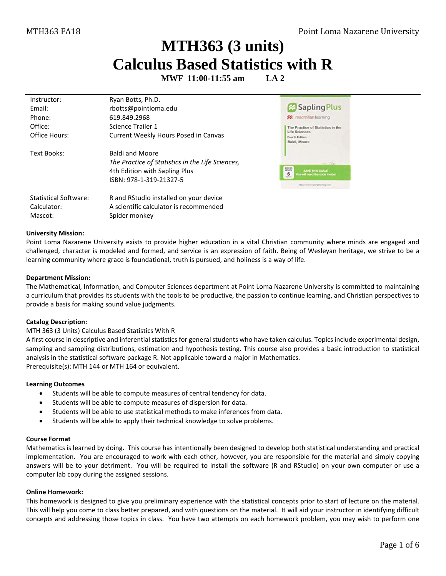# **MTH363 (3 units) Calculus Based Statistics with R**

**MWF 11:00-11:55 am LA 2**

| Instructor:<br>Fmail:<br>Phone:<br>Office:<br>Office Hours: | Ryan Botts, Ph.D.<br>rbotts@pointloma.edu<br>619.849.2968<br>Science Trailer 1<br>Current Weekly Hours Posed in Canvas                 | Sapling Plus<br><b>22</b> macmillan learning<br>The Practice of Statistics in the<br>Life Sciences<br>Fourth Edition<br>Baldi, Moore         |
|-------------------------------------------------------------|----------------------------------------------------------------------------------------------------------------------------------------|----------------------------------------------------------------------------------------------------------------------------------------------|
| Text Books:                                                 | <b>Baldi and Moore</b><br>The Practice of Statistics in the Life Sciences,<br>4th Edition with Sapling Plus<br>ISBN: 978-1-319-21327-5 | $-70$<br>ADDESS<br><b>SAVE THIS CAND</b><br>6<br>fou will need the code inside<br><b><i>Akberiets</i></b><br>Maxil Views and Righterrory com |
| <b>Statistical Software:</b><br>Calculator:<br>Mascot:      | R and RStudio installed on your device<br>A scientific calculator is recommended<br>Spider monkey                                      |                                                                                                                                              |

#### **University Mission:**

Point Loma Nazarene University exists to provide higher education in a vital Christian community where minds are engaged and challenged, character is modeled and formed, and service is an expression of faith. Being of Wesleyan heritage, we strive to be a learning community where grace is foundational, truth is pursued, and holiness is a way of life.

#### **Department Mission:**

The Mathematical, Information, and Computer Sciences department at Point Loma Nazarene University is committed to maintaining a curriculum that provides its students with the tools to be productive, the passion to continue learning, and Christian perspectives to provide a basis for making sound value judgments.

### **Catalog Description:**

#### MTH 363 (3 Units) Calculus Based Statistics With R

A first course in descriptive and inferential statistics for general students who have taken calculus. Topics include experimental design, sampling and sampling distributions, estimation and hypothesis testing. This course also provides a basic introduction to statistical analysis in the statistical software package R. Not applicable toward a major in Mathematics. Prerequisite(s): [MTH 144](http://catalog.pointloma.edu/content.php?filter%5B27%5D=MTH&filter%5B29%5D=363&filter%5Bcourse_type%5D=-1&filter%5Bkeyword%5D=&filter%5B32%5D=1&filter%5Bcpage%5D=1&cur_cat_oid=24&expand=&navoid=1590&search_database=Filter#tt1159) o[r MTH 164](http://catalog.pointloma.edu/content.php?filter%5B27%5D=MTH&filter%5B29%5D=363&filter%5Bcourse_type%5D=-1&filter%5Bkeyword%5D=&filter%5B32%5D=1&filter%5Bcpage%5D=1&cur_cat_oid=24&expand=&navoid=1590&search_database=Filter#tt237) or equivalent.

#### **Learning Outcomes**

- Students will be able to compute measures of central tendency for data.
- Students will be able to compute measures of dispersion for data.
- Students will be able to use statistical methods to make inferences from data.
- Students will be able to apply their technical knowledge to solve problems.

#### **Course Format**

Mathematics is learned by doing. This course has intentionally been designed to develop both statistical understanding and practical implementation. You are encouraged to work with each other, however, you are responsible for the material and simply copying answers will be to your detriment. You will be required to install the software (R and RStudio) on your own computer or use a computer lab copy during the assigned sessions.

#### **Online Homework:**

This homework is designed to give you preliminary experience with the statistical concepts prior to start of lecture on the material. This will help you come to class better prepared, and with questions on the material. It will aid your instructor in identifying difficult concepts and addressing those topics in class. You have two attempts on each homework problem, you may wish to perform one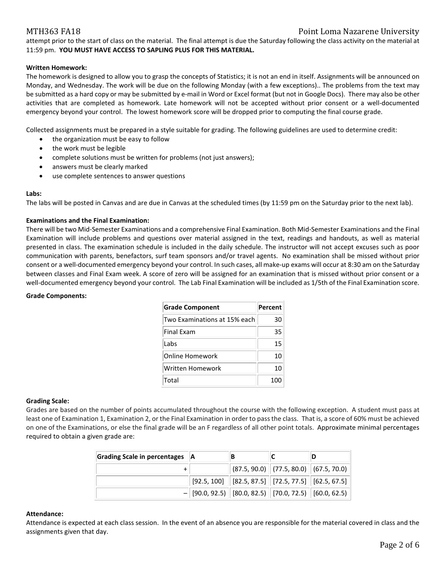## MTH363 FA18 Point Loma Nazarene University

attempt prior to the start of class on the material. The final attempt is due the Saturday following the class activity on the material at 11:59 pm. **YOU MUST HAVE ACCESS TO SAPLING PLUS FOR THIS MATERIAL.**

#### **Written Homework:**

The homework is designed to allow you to grasp the concepts of Statistics; it is not an end in itself. Assignments will be announced on Monday, and Wednesday. The work will be due on the following Monday (with a few exceptions).. The problems from the text may be submitted as a hard copy or may be submitted by e-mail in Word or Excel format (but not in Google Docs). There may also be other activities that are completed as homework. Late homework will not be accepted without prior consent or a well-documented emergency beyond your control. The lowest homework score will be dropped prior to computing the final course grade.

Collected assignments must be prepared in a style suitable for grading. The following guidelines are used to determine credit:

- the organization must be easy to follow
- the work must be legible
- complete solutions must be written for problems (not just answers);
- answers must be clearly marked
- use complete sentences to answer questions

#### **Labs:**

The labs will be posted in Canvas and are due in Canvas at the scheduled times (by 11:59 pm on the Saturday prior to the next lab).

#### **Examinations and the Final Examination:**

There will be two Mid-Semester Examinations and a comprehensive Final Examination. Both Mid-Semester Examinations and the Final Examination will include problems and questions over material assigned in the text, readings and handouts, as well as material presented in class. The examination schedule is included in the daily schedule. The instructor will not accept excuses such as poor communication with parents, benefactors, surf team sponsors and/or travel agents. No examination shall be missed without prior consent or a well-documented emergency beyond your control. In such cases, all make-up exams will occur at 8:30 am on the Saturday between classes and Final Exam week. A score of zero will be assigned for an examination that is missed without prior consent or a well-documented emergency beyond your control. The Lab Final Examination will be included as 1/5th of the Final Examination score.

#### **Grade Components:**

| <b>Grade Component</b>       | Percent |
|------------------------------|---------|
| Two Examinations at 15% each | 30      |
| <b>Final Exam</b>            | 35      |
| Labs                         | 15      |
| Online Homework              | 10      |
| Written Homework             | 10      |
| Total                        | 100     |

#### **Grading Scale:**

Grades are based on the number of points accumulated throughout the course with the following exception. A student must pass at least one of Examination 1, Examination 2, or the Final Examination in order to pass the class. That is, a score of 60% must be achieved on one of the Examinations, or else the final grade will be an F regardless of all other point totals. Approximate minimal percentages required to obtain a given grade are:

| Grading Scale in percentages   A | B |                                                                                |  |  |
|----------------------------------|---|--------------------------------------------------------------------------------|--|--|
|                                  |   | $ (87.5, 90.0) $ (77.5, 80.0) $ (67.5, 70.0) $                                 |  |  |
|                                  |   | $\mid$ [92.5, 100] $\mid$ [82.5, 87.5] $\mid$ [72.5, 77.5] $\mid$ [62.5, 67.5] |  |  |
|                                  |   | $-$ [90.0, 92.5) [80.0, 82.5) [70.0, 72.5) [60.0, 62.5)                        |  |  |

#### **Attendance:**

Attendance is expected at each class session. In the event of an absence you are responsible for the material covered in class and the assignments given that day.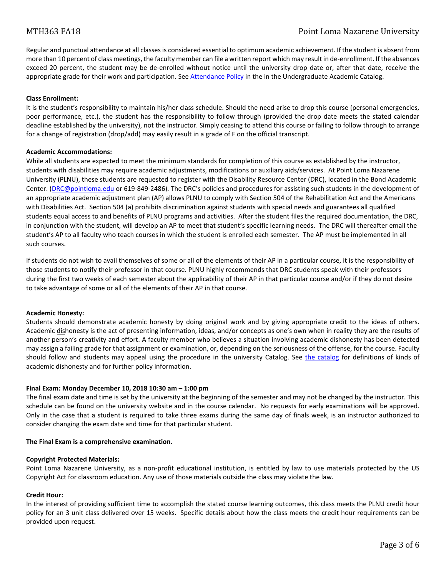Regular and punctual attendance at all classes is considered essential to optimum academic achievement. If the student is absent from more than 10 percent of class meetings, the faculty member can file a written report which may result in de-enrollment. If the absences exceed 20 percent, the student may be de-enrolled without notice until the university drop date or, after that date, receive the appropriate grade for their work and participation. Se[e Attendance Policy](https://catalog.pointloma.edu/content.php?catoid=28&navoid=1761#Class_Attendance) in the in the Undergraduate Academic Catalog.

### **Class Enrollment:**

It is the student's responsibility to maintain his/her class schedule. Should the need arise to drop this course (personal emergencies, poor performance, etc.), the student has the responsibility to follow through (provided the drop date meets the stated calendar deadline established by the university), not the instructor. Simply ceasing to attend this course or failing to follow through to arrange for a change of registration (drop/add) may easily result in a grade of F on the official transcript.

#### **Academic Accommodations:**

While all students are expected to meet the minimum standards for completion of this course as established by the instructor, students with disabilities may require academic adjustments, modifications or auxiliary aids/services. At Point Loma Nazarene University (PLNU), these students are requested to register with the Disability Resource Center (DRC), located in the Bond Academic Center. [\(DRC@pointloma.edu](mailto:DRC@pointloma.edu) or 619-849-2486). The DRC's policies and procedures for assisting such students in the development of an appropriate academic adjustment plan (AP) allows PLNU to comply with Section 504 of the Rehabilitation Act and the Americans with Disabilities Act. Section 504 (a) prohibits discrimination against students with special needs and guarantees all qualified students equal access to and benefits of PLNU programs and activities. After the student files the required documentation, the DRC, in conjunction with the student, will develop an AP to meet that student's specific learning needs. The DRC will thereafter email the student's AP to all faculty who teach courses in which the student is enrolled each semester. The AP must be implemented in all such courses.

If students do not wish to avail themselves of some or all of the elements of their AP in a particular course, it is the responsibility of those students to notify their professor in that course. PLNU highly recommends that DRC students speak with their professors during the first two weeks of each semester about the applicability of their AP in that particular course and/or if they do not desire to take advantage of some or all of the elements of their AP in that course.

### **Academic Honesty:**

Students should demonstrate academic honesty by doing original work and by giving appropriate credit to the ideas of others. Academic dishonesty is the act of presenting information, ideas, and/or concepts as one's own when in reality they are the results of another person's creativity and effort. A faculty member who believes a situation involving academic dishonesty has been detected may assign a failing grade for that assignment or examination, or, depending on the seriousness of the offense, for the course. Faculty should follow and students may appeal using the procedure in the university Catalog. See [the catalog](https://catalog.pointloma.edu/content.php?catoid=28&navoid=1761#Academic_Honesty) for definitions of kinds of academic dishonesty and for further policy information.

### **Final Exam: Monday December 10, 2018 10:30 am – 1:00 pm**

The final exam date and time is set by the university at the beginning of the semester and may not be changed by the instructor. This schedule can be found on the university website and in the course calendar. No requests for early examinations will be approved. Only in the case that a student is required to take three exams during the same day of finals week, is an instructor authorized to consider changing the exam date and time for that particular student.

#### **The Final Exam is a comprehensive examination.**

### **Copyright Protected Materials:**

Point Loma Nazarene University, as a non-profit educational institution, is entitled by law to use materials protected by the US Copyright Act for classroom education. Any use of those materials outside the class may violate the law.

#### **Credit Hour:**

In the interest of providing sufficient time to accomplish the stated course learning outcomes, this class meets the PLNU credit hour policy for an 3 unit class delivered over 15 weeks. Specific details about how the class meets the credit hour requirements can be provided upon request.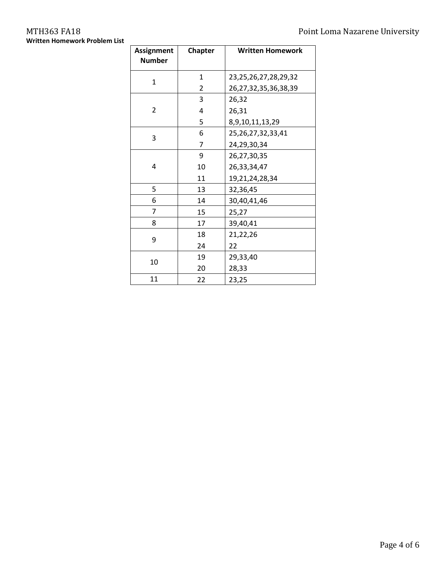# **Written Homework Problem List**

| <b>Assignment</b><br><b>Number</b> | <b>Chapter</b> | <b>Written Homework</b>    |  |  |  |  |
|------------------------------------|----------------|----------------------------|--|--|--|--|
| 1                                  | 1              | 23,25,26,27,28,29,32       |  |  |  |  |
|                                    | 2              | 26, 27, 32, 35, 36, 38, 39 |  |  |  |  |
|                                    | 3              | 26,32                      |  |  |  |  |
| $\overline{2}$                     | 4              | 26,31                      |  |  |  |  |
|                                    | 5              | 8,9,10,11,13,29            |  |  |  |  |
| 3                                  | 6              | 25, 26, 27, 32, 33, 41     |  |  |  |  |
|                                    | 7              | 24,29,30,34                |  |  |  |  |
|                                    | 9              | 26,27,30,35                |  |  |  |  |
| 4                                  | 10             | 26,33,34,47                |  |  |  |  |
|                                    | 11             | 19,21,24,28,34             |  |  |  |  |
| 5                                  | 13             | 32,36,45                   |  |  |  |  |
| 6                                  | 14             | 30,40,41,46                |  |  |  |  |
| 7                                  | 15             | 25,27                      |  |  |  |  |
| 8                                  | 17             | 39,40,41                   |  |  |  |  |
| 9                                  | 18             | 21,22,26                   |  |  |  |  |
|                                    | 24             | 22                         |  |  |  |  |
|                                    | 19             | 29,33,40                   |  |  |  |  |
| 10                                 | 20             | 28,33                      |  |  |  |  |
| 11                                 | 22             | 23,25                      |  |  |  |  |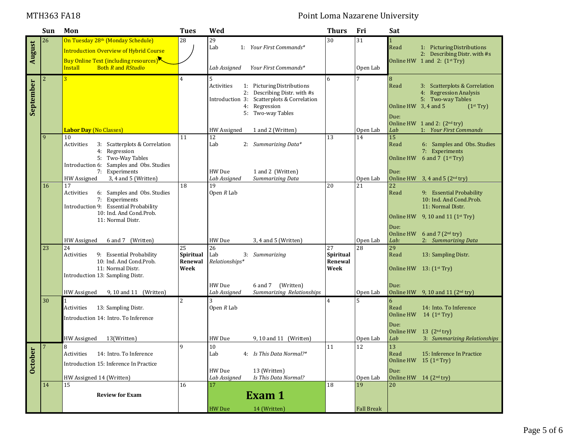## MTH363 FA18 **Point Loma Nazarene University**

|                           | Sun            | Mon                                                                                                                                                                               | <b>Tues</b>                        | Wed                                      |                                                                                                                                                | <b>Thurs</b>                       | Fri               | Sat                                       |                                                                                                                                            |
|---------------------------|----------------|-----------------------------------------------------------------------------------------------------------------------------------------------------------------------------------|------------------------------------|------------------------------------------|------------------------------------------------------------------------------------------------------------------------------------------------|------------------------------------|-------------------|-------------------------------------------|--------------------------------------------------------------------------------------------------------------------------------------------|
| August                    | 26             | On Tuesday 28th (Monday Schedule)<br><b>Introduction Overview of Hybrid Course</b><br><b>Buy Online Text (including resources)</b><br><b>Install</b><br><b>Both R</b> and RStudio | 28                                 | 29<br>Lab<br>Lab Assigned                | 1: Your First Commands*<br>Your First Commands*                                                                                                | 30                                 | 31<br>Open Lab    | Read                                      | 1: Picturing Distributions<br>2: Describing Distr. with #s<br>Online HW $1$ and $2:$ $(1^{st}$ Try)                                        |
| September                 | $\overline{2}$ |                                                                                                                                                                                   | 4                                  | 5<br>Activities                          | 1: Picturing Distributions<br>2: Describing Distr. with #s<br>Introduction 3: Scatterplots & Correlation<br>4: Regression<br>5: Two-way Tables | 6                                  |                   | 8<br>Read<br>Online HW 3, 4 and 5<br>Due: | 3: Scatterplots & Correlation<br>4: Regression Analysis<br>5: Two-way Tables<br>(1 <sup>st</sup> Try)<br>Online HW 1 and 2: $(2^{nd} try)$ |
|                           |                | <b>Labor Day (No Classes)</b>                                                                                                                                                     |                                    | HW Assigned                              | 1 and 2 (Written)                                                                                                                              |                                    | Open Lab          | Lab                                       | 1: Your First Commands                                                                                                                     |
|                           | 9              | 10<br>3: Scatterplots & Correlation<br>Activities<br>4: Regression<br>5: Two-Way Tables<br>Introduction 6: Samples and Obs. Studies<br>7: Experiments                             | 11                                 | 12<br>Lab<br>HW Due                      | 2: Summarizing Data*<br>1 and 2 (Written)                                                                                                      | 13                                 | 14                | 15<br>Read<br>Online HW<br>Due:           | 6: Samples and Obs. Studies<br>7: Experiments<br>6 and 7 $(1st Try)$                                                                       |
|                           |                | 3, 4 and 5 (Written)<br>HW Assigned                                                                                                                                               |                                    | Lab Assigned                             | Summarizing Data                                                                                                                               |                                    | Open Lab          |                                           | Online HW $3, 4$ and $5$ (2 <sup>nd</sup> try)                                                                                             |
|                           | 16             | 17<br>Activities<br>6: Samples and Obs. Studies<br>7: Experiments<br>Introduction 9: Essential Probability<br>10: Ind. And Cond. Prob.                                            | 18                                 | 19<br>Open $R$ Lab                       |                                                                                                                                                | 20                                 | 21                | 22<br>Read                                | 9: Essential Probability<br>10: Ind. And Cond. Prob.<br>11: Normal Distr.<br>Online HW $9, 10$ and 11 ( $1st$ Try)                         |
|                           |                | 11: Normal Distr.<br>6 and 7 (Written)<br>HW Assigned                                                                                                                             |                                    | HW Due                                   | 3, 4 and 5 (Written)                                                                                                                           |                                    | Open Lab          | Due:<br>Online HW<br>Lab:                 | 6 and 7 $(2nd try)$<br>2: Summarizing Data                                                                                                 |
|                           | 23             | 24<br>Activities<br>9: Essential Probability<br>10: Ind. And Cond.Prob.<br>11: Normal Distr.<br>Introduction 13: Sampling Distr.                                                  | 25<br>Spiritual<br>Renewal<br>Week | $\overline{26}$<br>Lab<br>Relationships* | 3: Summarizing                                                                                                                                 | 27<br>Spiritual<br>Renewal<br>Week | 28                | 29<br>Read                                | 13: Sampling Distr.<br>Online HW 13: (1st Try)                                                                                             |
|                           |                | 9, 10 and 11 (Written)<br>HW Assigned                                                                                                                                             |                                    | HW Due<br>Lab Assigned                   | (Written)<br>6 and 7<br>Summarizing Relationships                                                                                              |                                    | Open Lab          | Due:                                      | Online HW $9, 10$ and 11 ( $2nd$ try)                                                                                                      |
|                           | 30             | 13: Sampling Distr.<br>Activities<br>Introduction 14: Intro. To Inference<br>13(Written)                                                                                          | <sup>2</sup>                       | 3<br>Open $R$ Lab<br>HW Due              |                                                                                                                                                | $\overline{4}$                     |                   | 6<br>Read<br>Online HW<br>Due:            | 14: Into. To Inference<br>14 $(1^{st}$ Try)<br>Online HW 13 (2 <sup>nd</sup> try)<br>3: Summarizing Relationships                          |
| <b>er</b><br><b>Octob</b> |                | HW Assigned                                                                                                                                                                       |                                    |                                          | 9, 10 and 11 (Written)                                                                                                                         |                                    | Open Lab          | Lab                                       |                                                                                                                                            |
|                           | 7              | 8<br>Activities 14: Intro. To Inference<br>Introduction 15: Inference In Practice                                                                                                 | $\mathbf{q}$                       | $10\,$<br>Lab<br>HW Due                  | 4: Is This Data Normal?*<br>13 (Written)                                                                                                       | 11                                 | 12                | 13<br>Read<br>Due:                        | 15: Inference In Practice<br>Online HW $15$ (1 <sup>st</sup> Try)                                                                          |
|                           |                | HW Assigned 14 (Written)<br>15                                                                                                                                                    | 16                                 | Lab Assigned<br>17                       | Is This Data Normal?                                                                                                                           | 18                                 | Open Lab<br>19    | 20                                        | Online HW 14 (2 <sup>nd</sup> try)                                                                                                         |
|                           | 14             | <b>Review for Exam</b>                                                                                                                                                            |                                    |                                          | Exam 1                                                                                                                                         |                                    |                   |                                           |                                                                                                                                            |
|                           |                |                                                                                                                                                                                   |                                    | <b>HW</b> Due                            | 14 (Written)                                                                                                                                   |                                    | <b>Fall Break</b> |                                           |                                                                                                                                            |